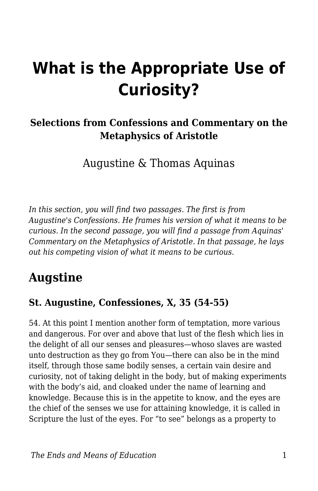# **What is the Appropriate Use of Curiosity?**

# **Selections from Confessions and Commentary on the Metaphysics of Aristotle**

Augustine & Thomas Aquinas

*In this section, you will find two passages. The first is from Augustine's Confessions. He frames his version of what it means to be curious. In the second passage, you will find a passage from Aquinas' Commentary on the Metaphysics of Aristotle. In that passage, he lays out his competing vision of what it means to be curious.* 

# **Augstine**

### **St. Augustine, Confessiones, X, 35 (54-55)**

54. At this point I mention another form of temptation, more various and dangerous. For over and above that lust of the flesh which lies in the delight of all our senses and pleasures—whoso slaves are wasted unto destruction as they go from You—there can also be in the mind itself, through those same bodily senses, a certain vain desire and curiosity, not of taking delight in the body, but of making experiments with the body's aid, and cloaked under the name of learning and knowledge. Because this is in the appetite to know, and the eyes are the chief of the senses we use for attaining knowledge, it is called in Scripture the lust of the eyes. For "to see" belongs as a property to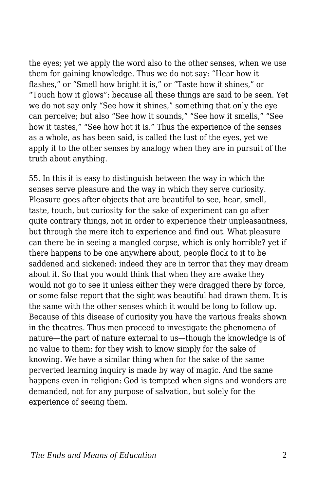the eyes; yet we apply the word also to the other senses, when we use them for gaining knowledge. Thus we do not say: "Hear how it flashes," or "Smell how bright it is," or "Taste how it shines," or "Touch how it glows": because all these things are said to be seen. Yet we do not say only "See how it shines," something that only the eye can perceive; but also "See how it sounds," "See how it smells," "See how it tastes," "See how hot it is." Thus the experience of the senses as a whole, as has been said, is called the lust of the eyes, yet we apply it to the other senses by analogy when they are in pursuit of the truth about anything.

55. In this it is easy to distinguish between the way in which the senses serve pleasure and the way in which they serve curiosity. Pleasure goes after objects that are beautiful to see, hear, smell, taste, touch, but curiosity for the sake of experiment can go after quite contrary things, not in order to experience their unpleasantness, but through the mere itch to experience and find out. What pleasure can there be in seeing a mangled corpse, which is only horrible? yet if there happens to be one anywhere about, people flock to it to be saddened and sickened: indeed they are in terror that they may dream about it. So that you would think that when they are awake they would not go to see it unless either they were dragged there by force, or some false report that the sight was beautiful had drawn them. It is the same with the other senses which it would be long to follow up. Because of this disease of curiosity you have the various freaks shown in the theatres. Thus men proceed to investigate the phenomena of nature—the part of nature external to us—though the knowledge is of no value to them: for they wish to know simply for the sake of knowing. We have a similar thing when for the sake of the same perverted learning inquiry is made by way of magic. And the same happens even in religion: God is tempted when signs and wonders are demanded, not for any purpose of salvation, but solely for the experience of seeing them.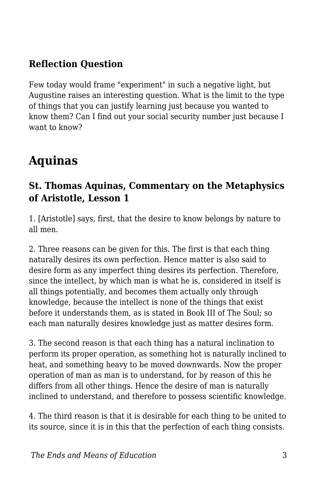# **Reflection Question**

Few today would frame "experiment" in such a negative light, but Augustine raises an interesting question. What is the limit to the type of things that you can justify learning just because you wanted to know them? Can I find out your social security number just because I want to know?

# **Aquinas**

### **St. Thomas Aquinas, Commentary on the Metaphysics of Aristotle, Lesson 1**

1. [Aristotle] says, first, that the desire to know belongs by nature to all men.

2. Three reasons can be given for this. The first is that each thing naturally desires its own perfection. Hence matter is also said to desire form as any imperfect thing desires its perfection. Therefore, since the intellect, by which man is what he is, considered in itself is all things potentially, and becomes them actually only through knowledge, because the intellect is none of the things that exist before it understands them, as is stated in Book III of The Soul; so each man naturally desires knowledge just as matter desires form.

3. The second reason is that each thing has a natural inclination to perform its proper operation, as something hot is naturally inclined to heat, and something heavy to be moved downwards. Now the proper operation of man as man is to understand, for by reason of this he differs from all other things. Hence the desire of man is naturally inclined to understand, and therefore to possess scientific knowledge.

4. The third reason is that it is desirable for each thing to be united to its source, since it is in this that the perfection of each thing consists.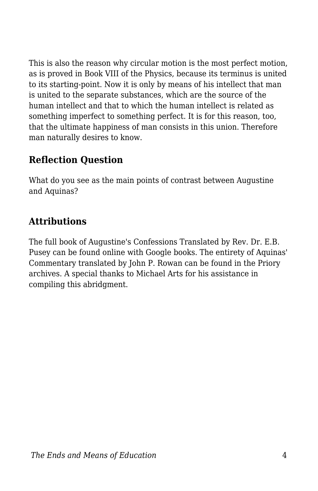This is also the reason why circular motion is the most perfect motion, as is proved in Book VIII of the Physics, because its terminus is united to its starting-point. Now it is only by means of his intellect that man is united to the separate substances, which are the source of the human intellect and that to which the human intellect is related as something imperfect to something perfect. It is for this reason, too, that the ultimate happiness of man consists in this union. Therefore man naturally desires to know.

## **Reflection Question**

What do you see as the main points of contrast between Augustine and Aquinas?

## **Attributions**

The full book of Augustine's Confessions Translated by Rev. Dr. E.B. Pusey can be found online with Google books. The entirety of Aquinas' Commentary translated by John P. Rowan can be found in the Priory archives. A special thanks to Michael Arts for his assistance in compiling this abridgment.